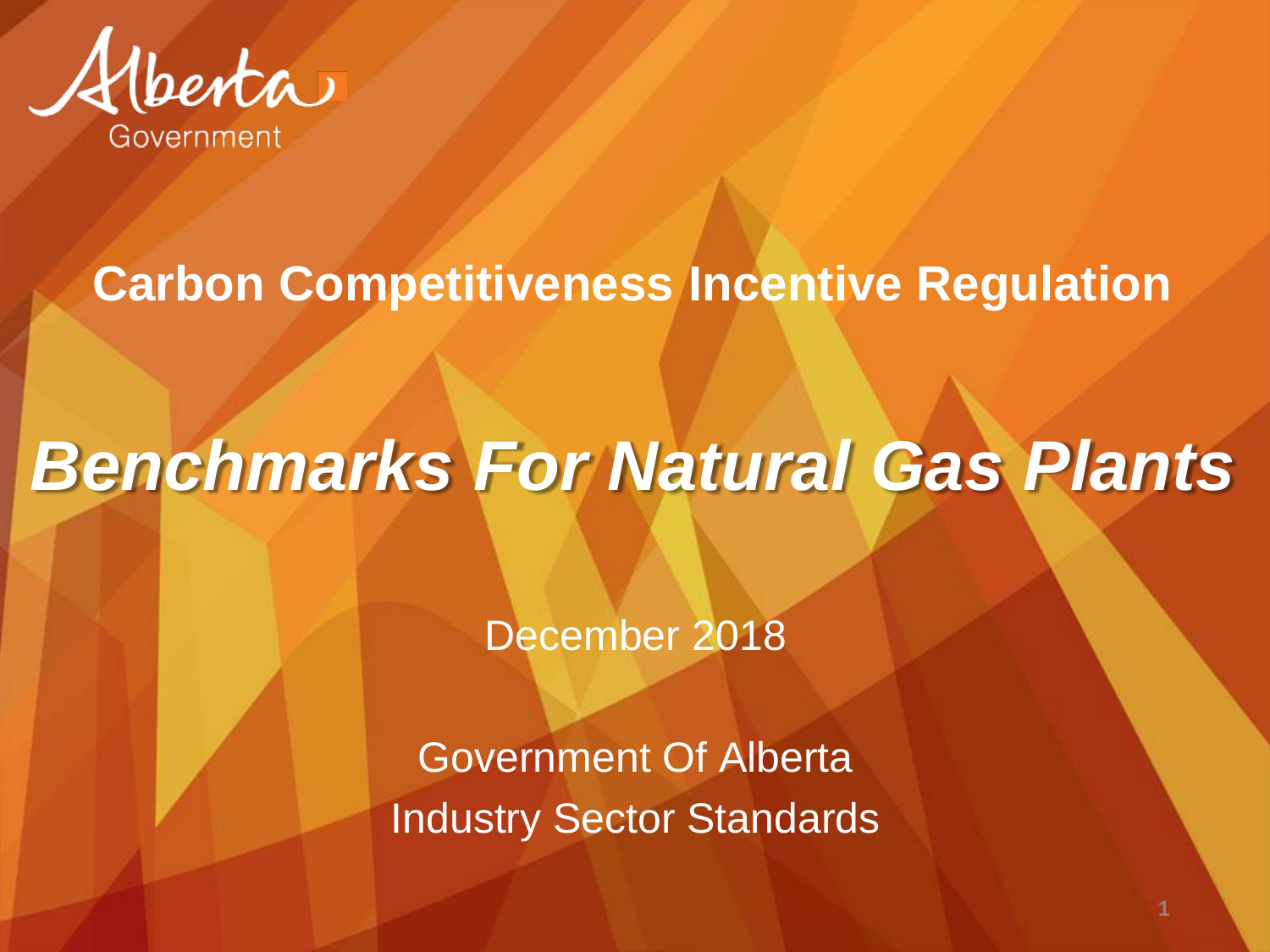

#### **Carbon Competitiveness Incentive Regulation**

# *Benchmarks For Natural Gas Plants*

December 2018

Government Of Alberta Industry Sector Standards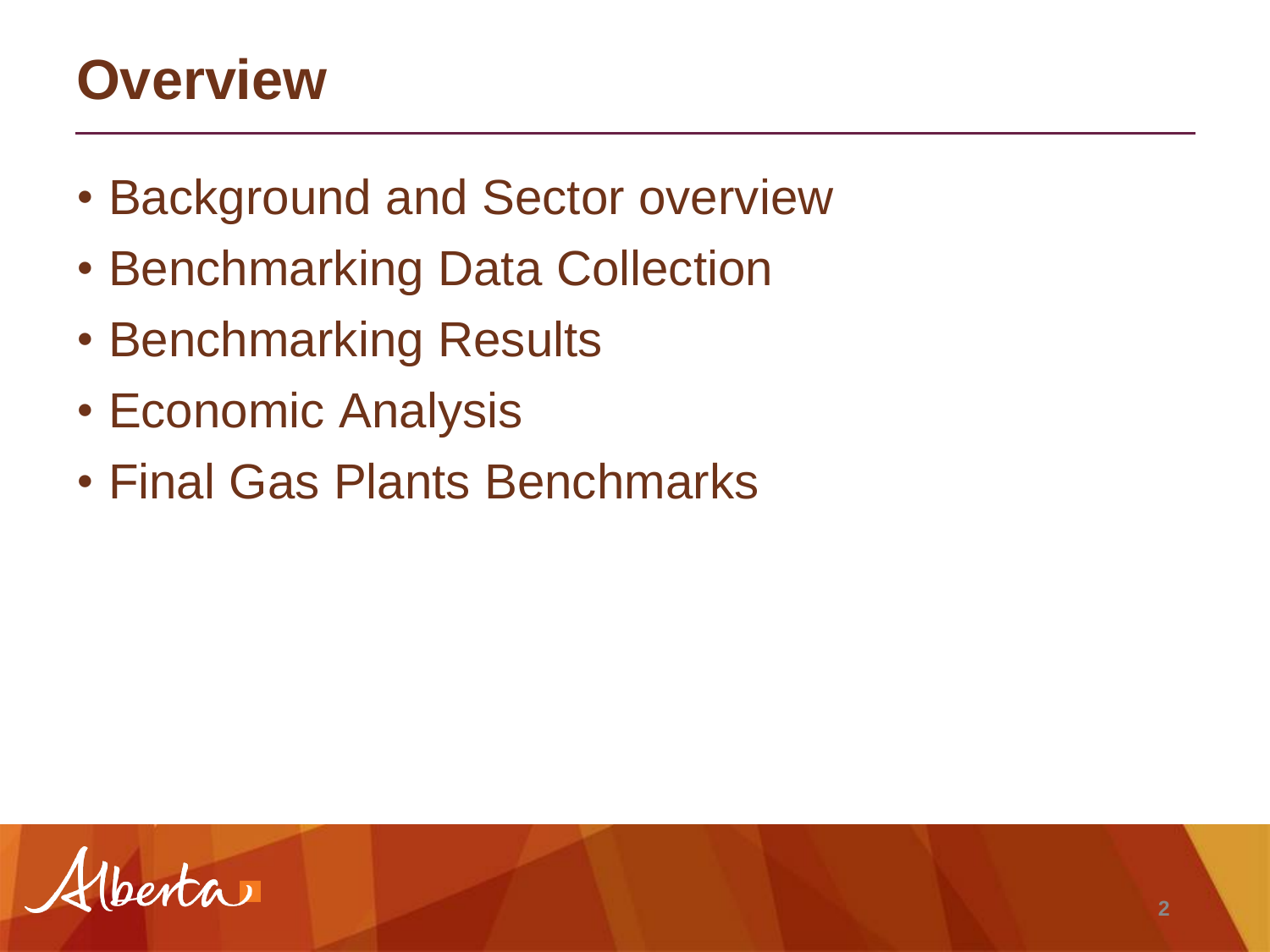#### **Overview**

- Background and Sector overview
- Benchmarking Data Collection
- Benchmarking Results
- Economic Analysis
- Final Gas Plants Benchmarks

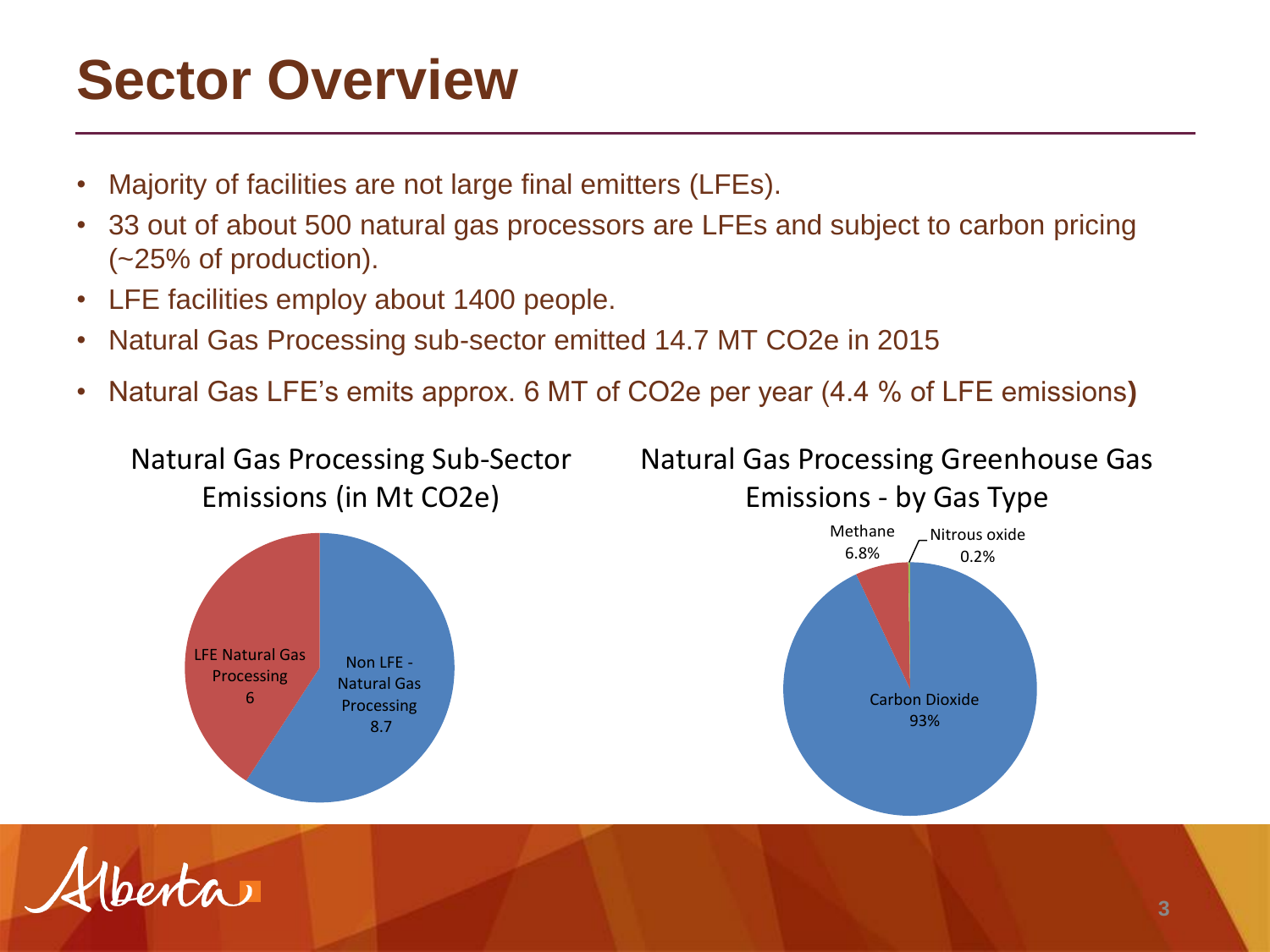#### **Sector Overview**

- Majority of facilities are not large final emitters (LFEs).
- 33 out of about 500 natural gas processors are LFEs and subject to carbon pricing (~25% of production).
- LFE facilities employ about 1400 people.
- Natural Gas Processing sub-sector emitted 14.7 MT CO2e in 2015
- Natural Gas LFE's emits approx. 6 MT of CO2e per year (4.4 % of LFE emissions**)**

Natural Gas Processing Sub-Sector Emissions (in Mt CO2e)



Natural Gas Processing Greenhouse Gas Emissions - by Gas Type



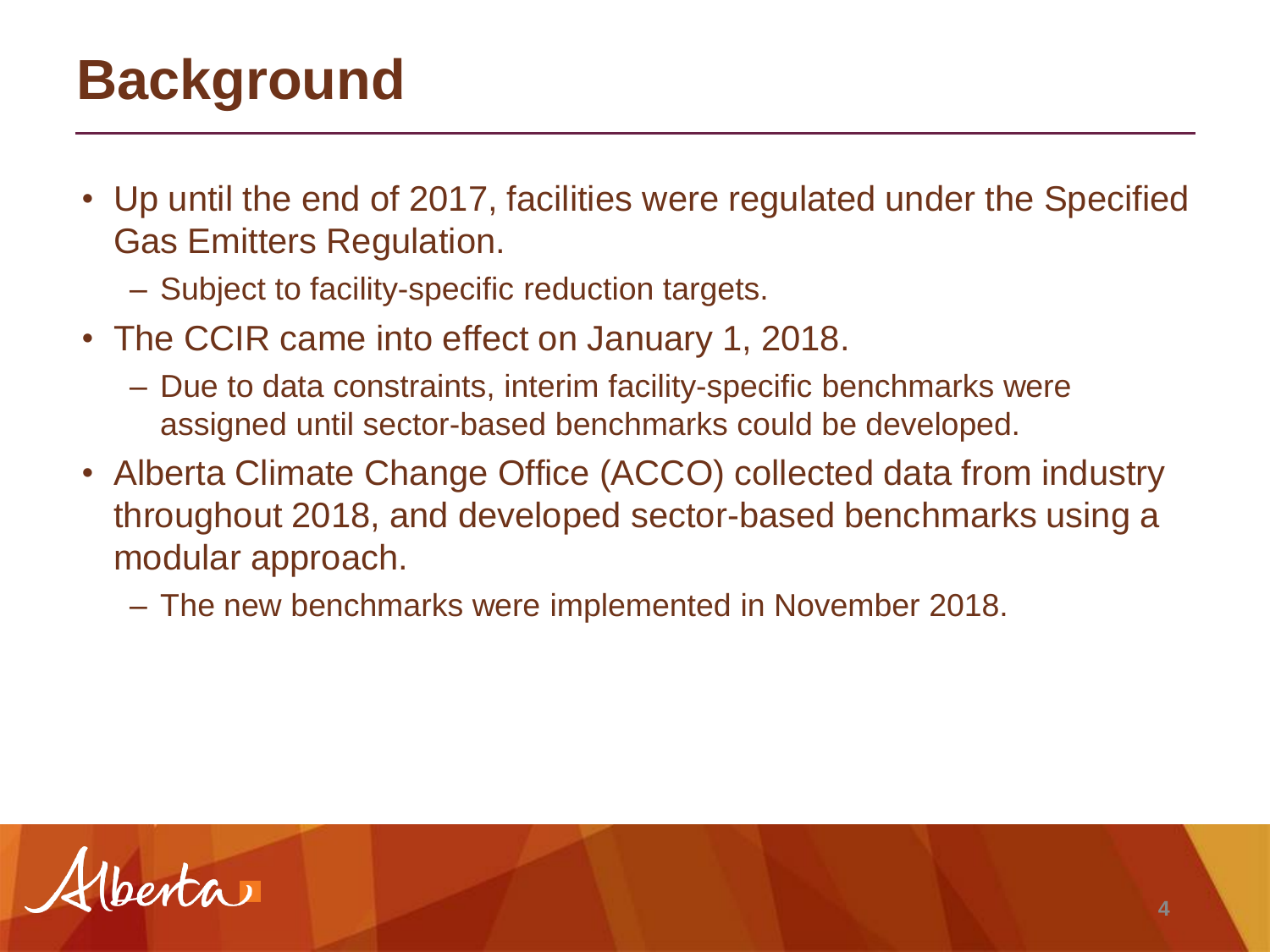## **Background**

- Up until the end of 2017, facilities were regulated under the Specified Gas Emitters Regulation.
	- Subject to facility-specific reduction targets.
- The CCIR came into effect on January 1, 2018.
	- Due to data constraints, interim facility-specific benchmarks were assigned until sector-based benchmarks could be developed.
- Alberta Climate Change Office (ACCO) collected data from industry throughout 2018, and developed sector-based benchmarks using a modular approach.
	- The new benchmarks were implemented in November 2018.

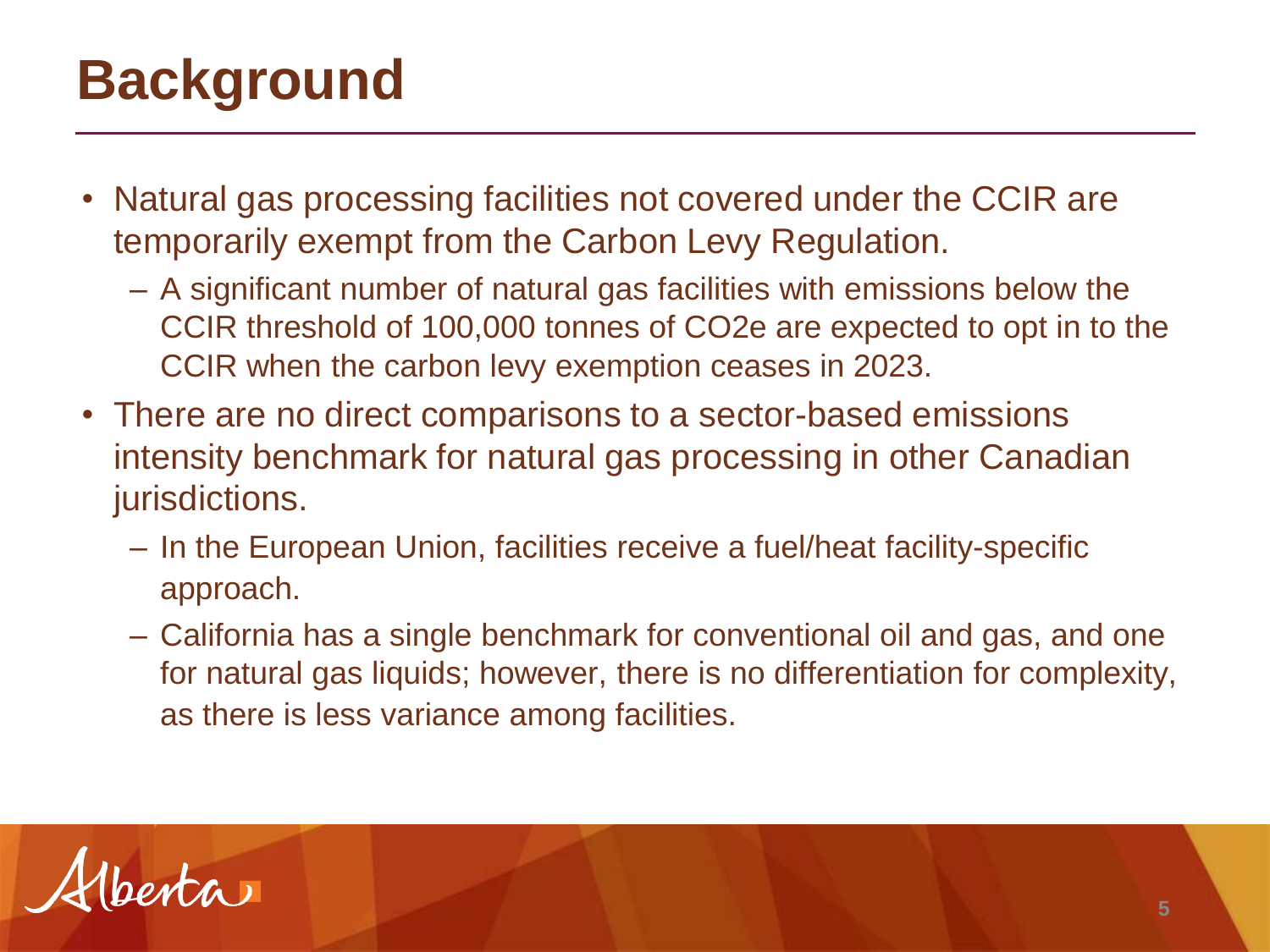## **Background**

- Natural gas processing facilities not covered under the CCIR are temporarily exempt from the Carbon Levy Regulation.
	- A significant number of natural gas facilities with emissions below the CCIR threshold of 100,000 tonnes of CO2e are expected to opt in to the CCIR when the carbon levy exemption ceases in 2023.
- There are no direct comparisons to a sector-based emissions intensity benchmark for natural gas processing in other Canadian jurisdictions.
	- In the European Union, facilities receive a fuel/heat facility-specific approach.
	- California has a single benchmark for conventional oil and gas, and one for natural gas liquids; however, there is no differentiation for complexity, as there is less variance among facilities.

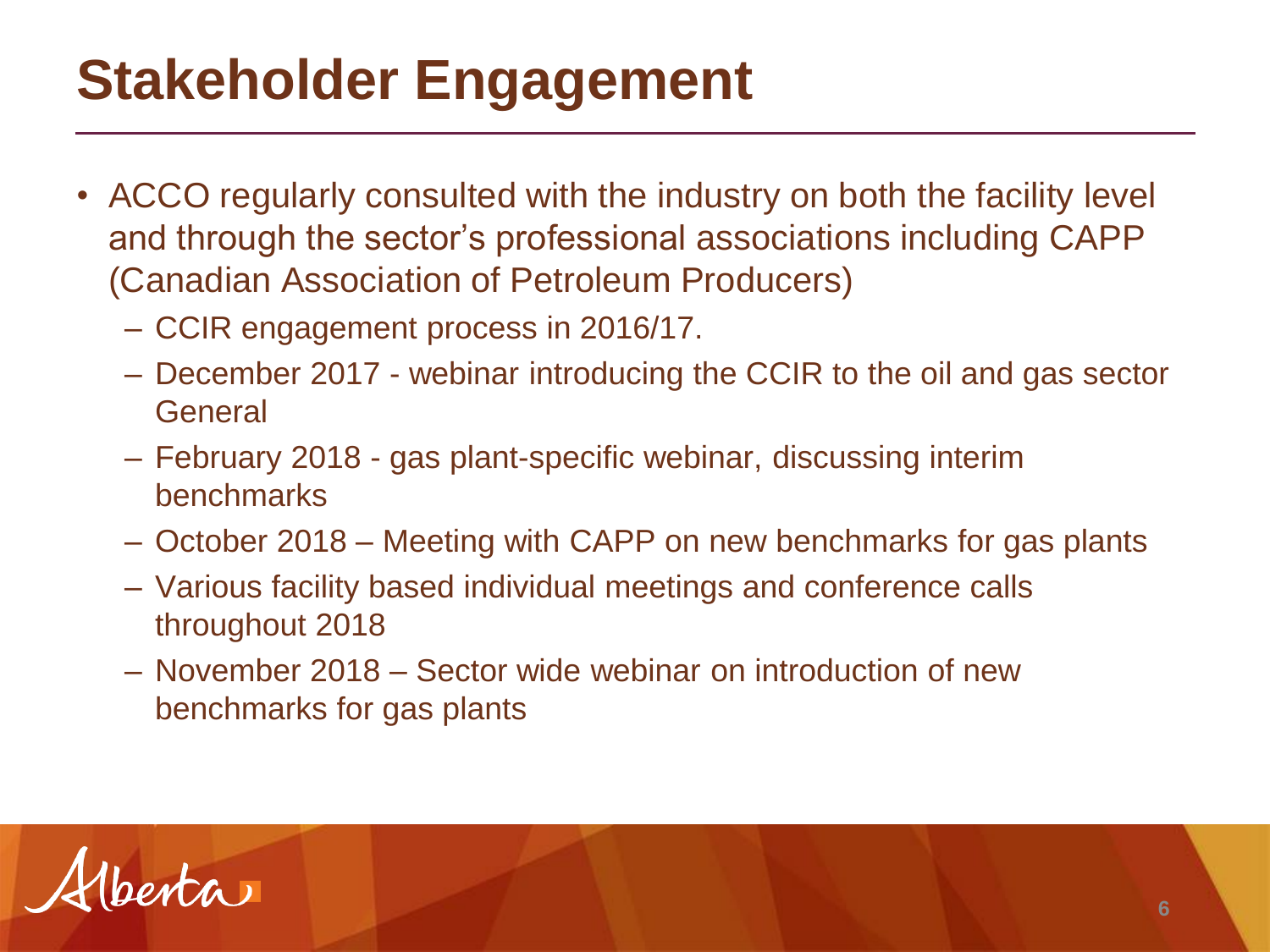## **Stakeholder Engagement**

- ACCO regularly consulted with the industry on both the facility level and through the sector's professional associations including CAPP (Canadian Association of Petroleum Producers)
	- CCIR engagement process in 2016/17.
	- December 2017 webinar introducing the CCIR to the oil and gas sector **General**
	- February 2018 gas plant-specific webinar, discussing interim benchmarks
	- October 2018 Meeting with CAPP on new benchmarks for gas plants
	- Various facility based individual meetings and conference calls throughout 2018
	- November 2018 Sector wide webinar on introduction of new benchmarks for gas plants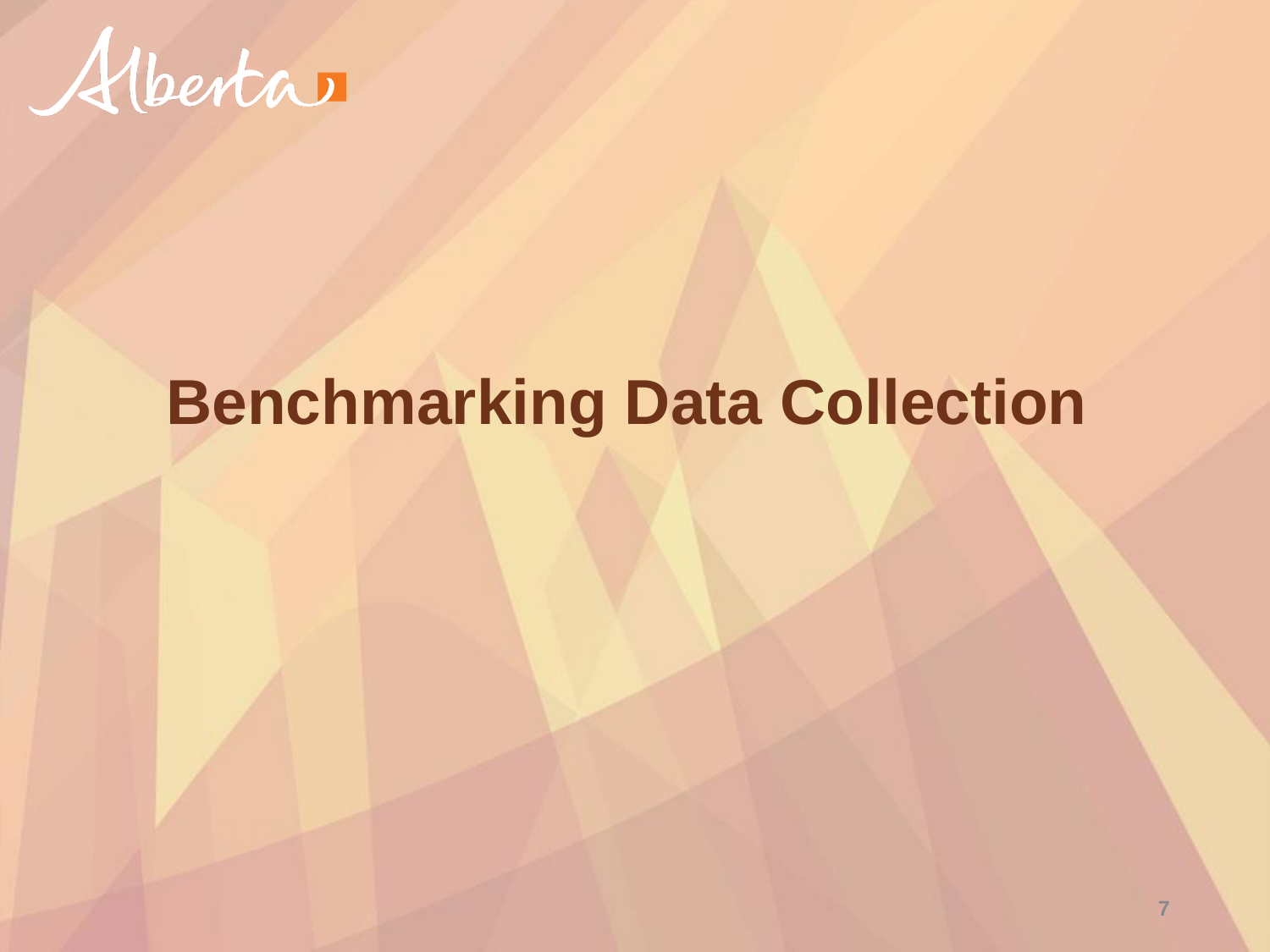

## **Benchmarking Data Collection**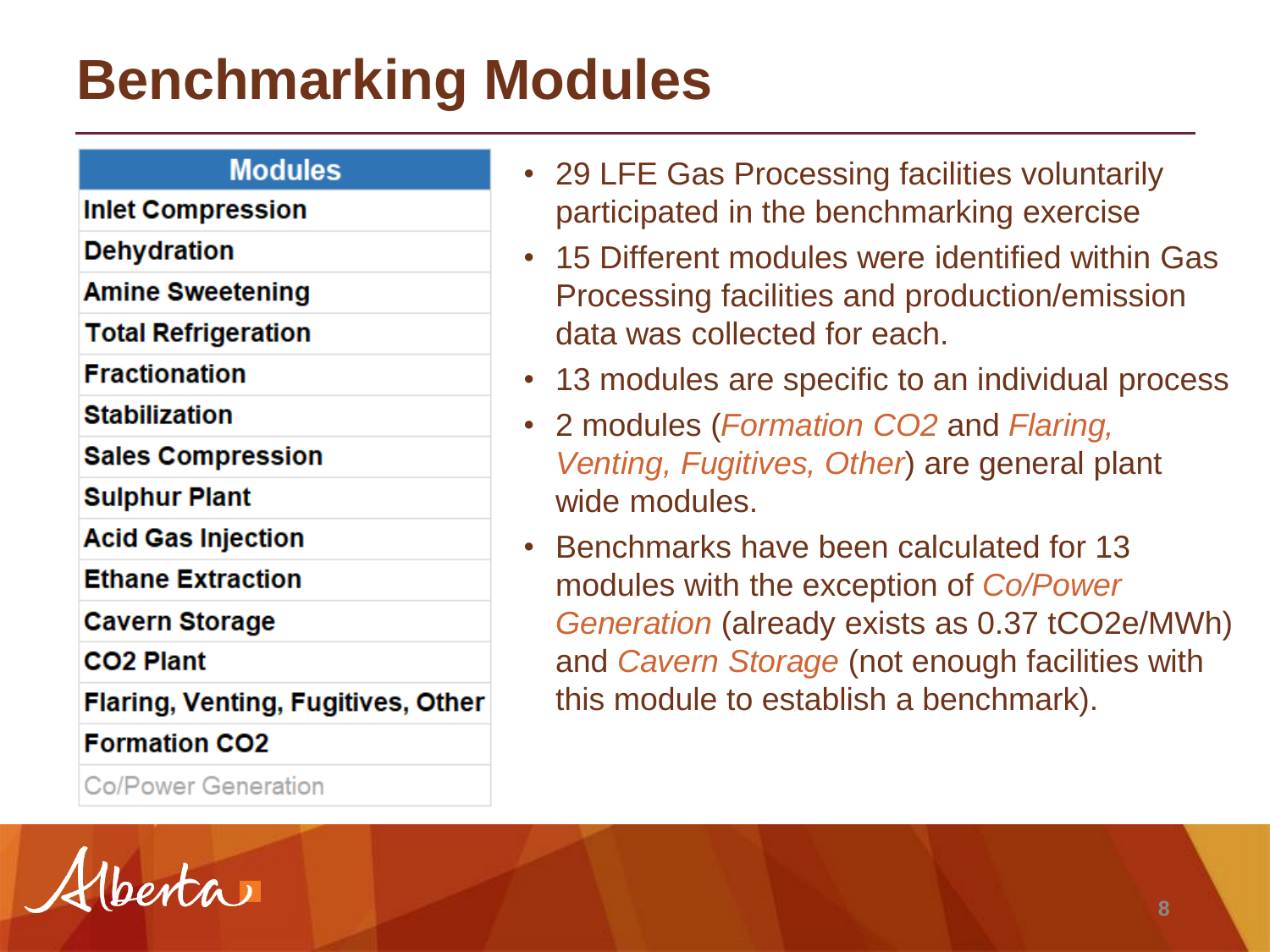### **Benchmarking Modules**

#### **Modules**

**Inlet Compression** 

**Dehydration** 

**Amine Sweetening** 

**Total Refrigeration** 

**Fractionation** 

**Stabilization** 

**Sales Compression** 

**Sulphur Plant** 

**Acid Gas Injection** 

**Ethane Extraction** 

**Cavern Storage** 

CO<sub>2</sub> Plant

Flaring, Venting, Fugitives, Other

**Formation CO2** 

**Co/Power Generation** 

- 29 LFE Gas Processing facilities voluntarily participated in the benchmarking exercise
- 15 Different modules were identified within Gas Processing facilities and production/emission data was collected for each.
- 13 modules are specific to an individual process
- 2 modules (*Formation CO2* and *Flaring, Venting, Fugitives, Other*) are general plant wide modules.
- Benchmarks have been calculated for 13 modules with the exception of *Co/Power Generation* (already exists as 0.37 tCO2e/MWh) and *Cavern Storage* (not enough facilities with this module to establish a benchmark).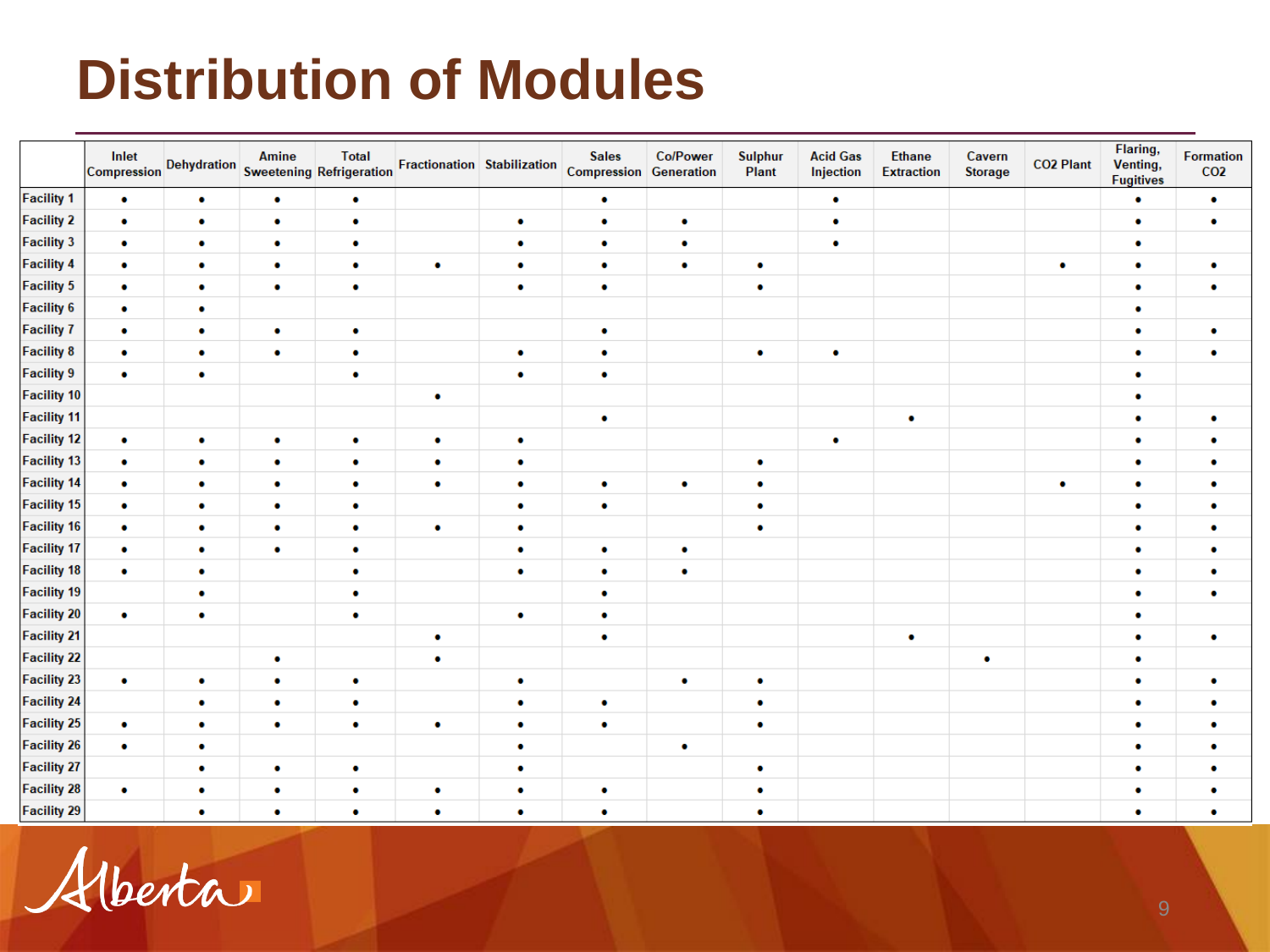#### **Distribution of Modules**

|                    | Inlet     |           | Amine     | <b>Total</b><br>Compression Dehydration Sweetening Refrigeration |           |           | <b>Sales</b><br>Fractionation Stabilization Compression Generation | <b>Co/Power</b> | <b>Sulphur</b><br>Plant | <b>Acid Gas</b><br>Injection | <b>Ethane</b><br><b>Extraction</b> | Cavern<br><b>Storage</b> | <b>CO2 Plant</b> | Flaring,<br>Venting,<br><b>Fugitives</b> | <b>Formation</b><br>CO <sub>2</sub> |
|--------------------|-----------|-----------|-----------|------------------------------------------------------------------|-----------|-----------|--------------------------------------------------------------------|-----------------|-------------------------|------------------------------|------------------------------------|--------------------------|------------------|------------------------------------------|-------------------------------------|
| <b>Facility 1</b>  | ۰         | ٠         | $\bullet$ | $\bullet$                                                        |           |           | $\bullet$                                                          |                 |                         | $\bullet$                    |                                    |                          |                  | ۰                                        | $\bullet$                           |
| <b>Facility 2</b>  | $\bullet$ | $\bullet$ | $\bullet$ | $\bullet$                                                        |           | $\bullet$ | $\bullet$                                                          | ۰               |                         | $\bullet$                    |                                    |                          |                  | ۰                                        | $\bullet$                           |
| <b>Facility 3</b>  | ۰         | ۰         | $\bullet$ | $\bullet$                                                        |           | $\bullet$ | $\bullet$                                                          | ٠               |                         | $\bullet$                    |                                    |                          |                  | ۰                                        |                                     |
| <b>Facility 4</b>  | ۰         | $\bullet$ | $\bullet$ | $\bullet$                                                        | ۰         | $\bullet$ | $\bullet$                                                          | $\bullet$       | $\bullet$               |                              |                                    |                          | $\bullet$        | ۰                                        | $\bullet$                           |
| <b>Facility 5</b>  | ۰         | $\bullet$ | $\bullet$ | $\bullet$                                                        |           | $\bullet$ | $\bullet$                                                          |                 | ٠                       |                              |                                    |                          |                  | ۰                                        | ۰                                   |
| <b>Facility 6</b>  | ۰         | ٠         |           |                                                                  |           |           |                                                                    |                 |                         |                              |                                    |                          |                  | ۰                                        |                                     |
| <b>Facility 7</b>  | ٠         | ۰         | $\bullet$ | $\bullet$                                                        |           |           | $\bullet$                                                          |                 |                         |                              |                                    |                          |                  | ۰                                        | ٠                                   |
| <b>Facility 8</b>  | ۰         | ٠         | $\bullet$ | $\bullet$                                                        |           | $\bullet$ | $\bullet$                                                          |                 | $\bullet$               | $\bullet$                    |                                    |                          |                  | ۰                                        | $\bullet$                           |
| <b>Facility 9</b>  | $\bullet$ | $\bullet$ |           | $\bullet$                                                        |           | $\bullet$ | $\bullet$                                                          |                 |                         |                              |                                    |                          |                  | ۰                                        |                                     |
| <b>Facility 10</b> |           |           |           |                                                                  | ۰         |           |                                                                    |                 |                         |                              |                                    |                          |                  | ۰                                        |                                     |
| <b>Facility 11</b> |           |           |           |                                                                  |           |           | $\bullet$                                                          |                 |                         |                              | ۰                                  |                          |                  | ۰                                        | ٠                                   |
| <b>Facility 12</b> | ٠         | $\bullet$ | $\bullet$ | ٠                                                                | ۰         | $\bullet$ |                                                                    |                 |                         | $\bullet$                    |                                    |                          |                  | ۰                                        | ۰                                   |
| <b>Facility 13</b> | $\bullet$ | $\bullet$ | $\bullet$ | $\bullet$                                                        | $\bullet$ | $\bullet$ |                                                                    |                 | $\bullet$               |                              |                                    |                          |                  | ۰                                        | $\bullet$                           |
| <b>Facility 14</b> | ٠         | $\bullet$ | $\bullet$ | $\bullet$                                                        | ۰         | $\bullet$ | $\bullet$                                                          | ٠               | $\bullet$               |                              |                                    |                          | $\bullet$        | ۰                                        | $\bullet$                           |
| <b>Facility 15</b> | ٠         | $\bullet$ | $\bullet$ | ٠                                                                |           | $\bullet$ | $\bullet$                                                          |                 | ٠                       |                              |                                    |                          |                  | ۰                                        | $\bullet$                           |
| <b>Facility 16</b> | $\bullet$ | $\bullet$ | $\bullet$ | $\bullet$                                                        | $\bullet$ | $\bullet$ |                                                                    |                 | ٠                       |                              |                                    |                          |                  | ۰                                        | ٠                                   |
| <b>Facility 17</b> | $\bullet$ | ٠         | $\bullet$ | $\bullet$                                                        |           | $\bullet$ | $\bullet$                                                          | ۰               |                         |                              |                                    |                          |                  | ۰                                        | ۰                                   |
| <b>Facility 18</b> | $\bullet$ | $\bullet$ |           | $\bullet$                                                        |           | $\bullet$ | $\bullet$                                                          | ۰               |                         |                              |                                    |                          |                  | ٠                                        | $\bullet$                           |
| <b>Facility 19</b> |           | $\bullet$ |           | $\bullet$                                                        |           |           | $\bullet$                                                          |                 |                         |                              |                                    |                          |                  | ۰                                        | ۰                                   |
| <b>Facility 20</b> | $\bullet$ | $\bullet$ |           | $\bullet$                                                        |           | $\bullet$ | $\bullet$                                                          |                 |                         |                              |                                    |                          |                  | ۰                                        |                                     |
| <b>Facility 21</b> |           |           |           |                                                                  | ۰         |           | $\bullet$                                                          |                 |                         |                              | ۰                                  |                          |                  | ۰                                        | ٠                                   |
| <b>Facility 22</b> |           |           | $\bullet$ |                                                                  | $\bullet$ |           |                                                                    |                 |                         |                              |                                    | $\bullet$                |                  | ۰                                        |                                     |
| <b>Facility 23</b> | ۰         | $\bullet$ | $\bullet$ | $\bullet$                                                        |           | $\bullet$ |                                                                    | ۰               | $\bullet$               |                              |                                    |                          |                  | ۰                                        | ۰                                   |
| <b>Facility 24</b> |           | $\bullet$ | $\bullet$ | $\bullet$                                                        |           | ۰         | $\bullet$                                                          |                 | $\bullet$               |                              |                                    |                          |                  | ۰                                        | $\bullet$                           |
| <b>Facility 25</b> | ٠         | $\bullet$ | $\bullet$ | $\bullet$                                                        | ۰         | $\bullet$ | $\bullet$                                                          |                 | ۰                       |                              |                                    |                          |                  | ۰                                        | ۰                                   |
| <b>Facility 26</b> | $\bullet$ | $\bullet$ |           |                                                                  |           | ۰         |                                                                    | ٠               |                         |                              |                                    |                          |                  | ۰                                        |                                     |
| <b>Facility 27</b> |           | ٠         | $\bullet$ | ٠                                                                |           | $\bullet$ |                                                                    |                 | $\bullet$               |                              |                                    |                          |                  | ۰                                        | ۰                                   |
| <b>Facility 28</b> | ٠         | ٠         | $\bullet$ | $\bullet$                                                        | ۰         | $\bullet$ | ٠                                                                  |                 | $\bullet$               |                              |                                    |                          |                  | ٠                                        |                                     |
| <b>Facility 29</b> |           | ٠         | ٠         | ۰                                                                | ٠         | ۰         | ٠                                                                  |                 | ٠                       |                              |                                    |                          |                  | ٠                                        | ٠                                   |

Alberta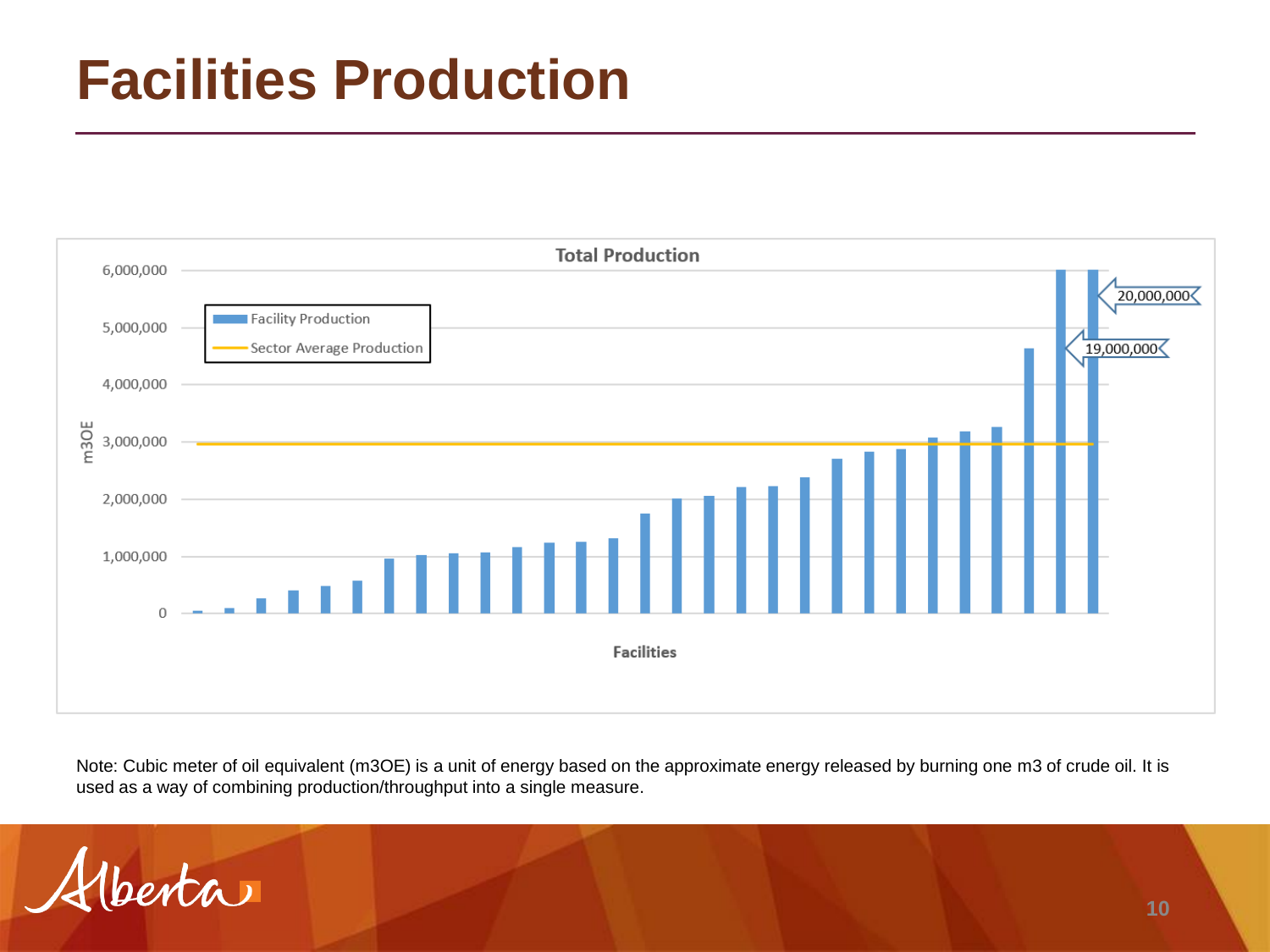#### **Facilities Production**



Note: Cubic meter of oil equivalent (m3OE) is a unit of energy based on the approximate energy released by burning one m3 of crude oil. It is used as a way of combining production/throughput into a single measure.

 $int(a)$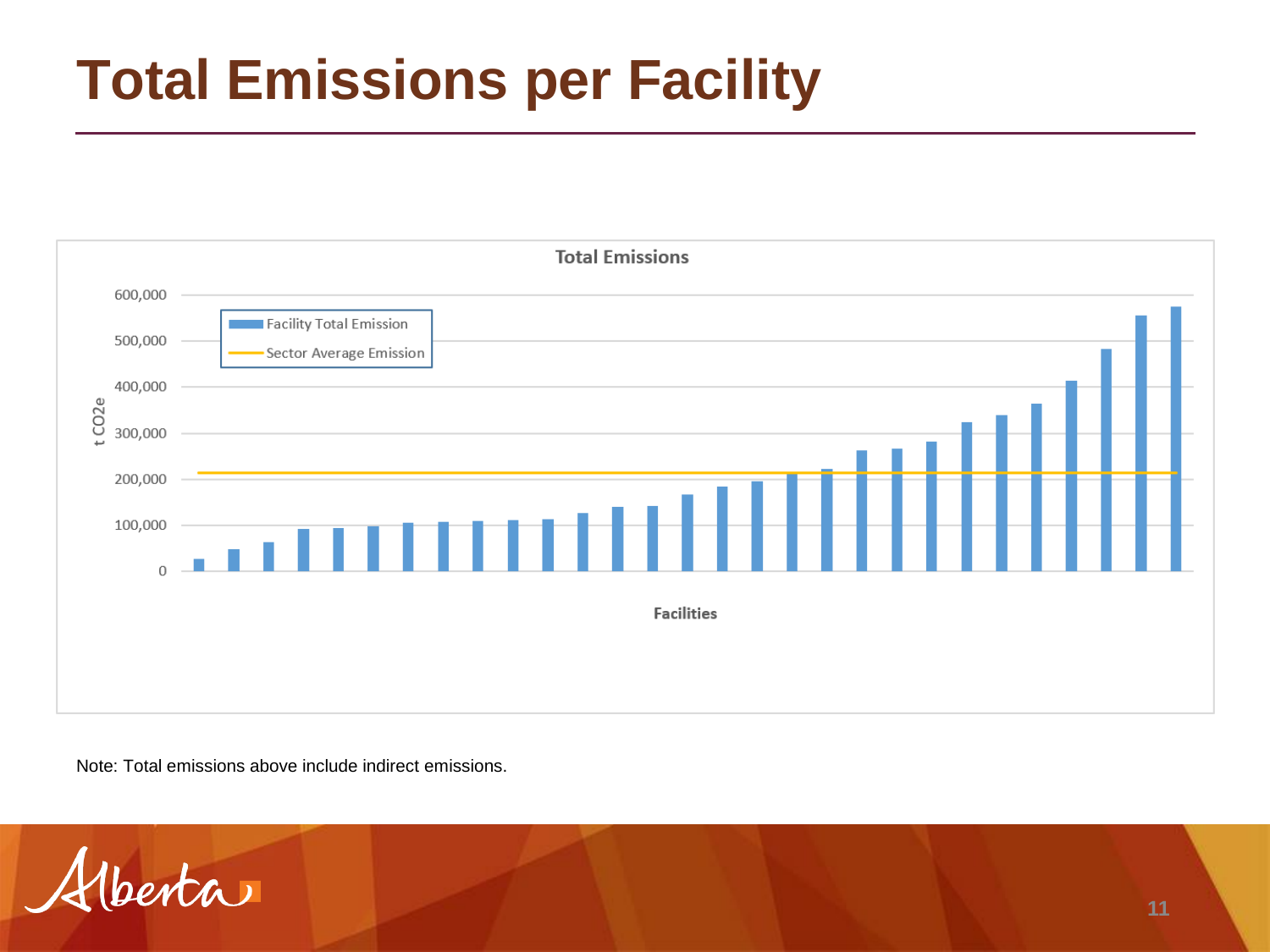### **Total Emissions per Facility**



Note: Total emissions above include indirect emissions.

 $A$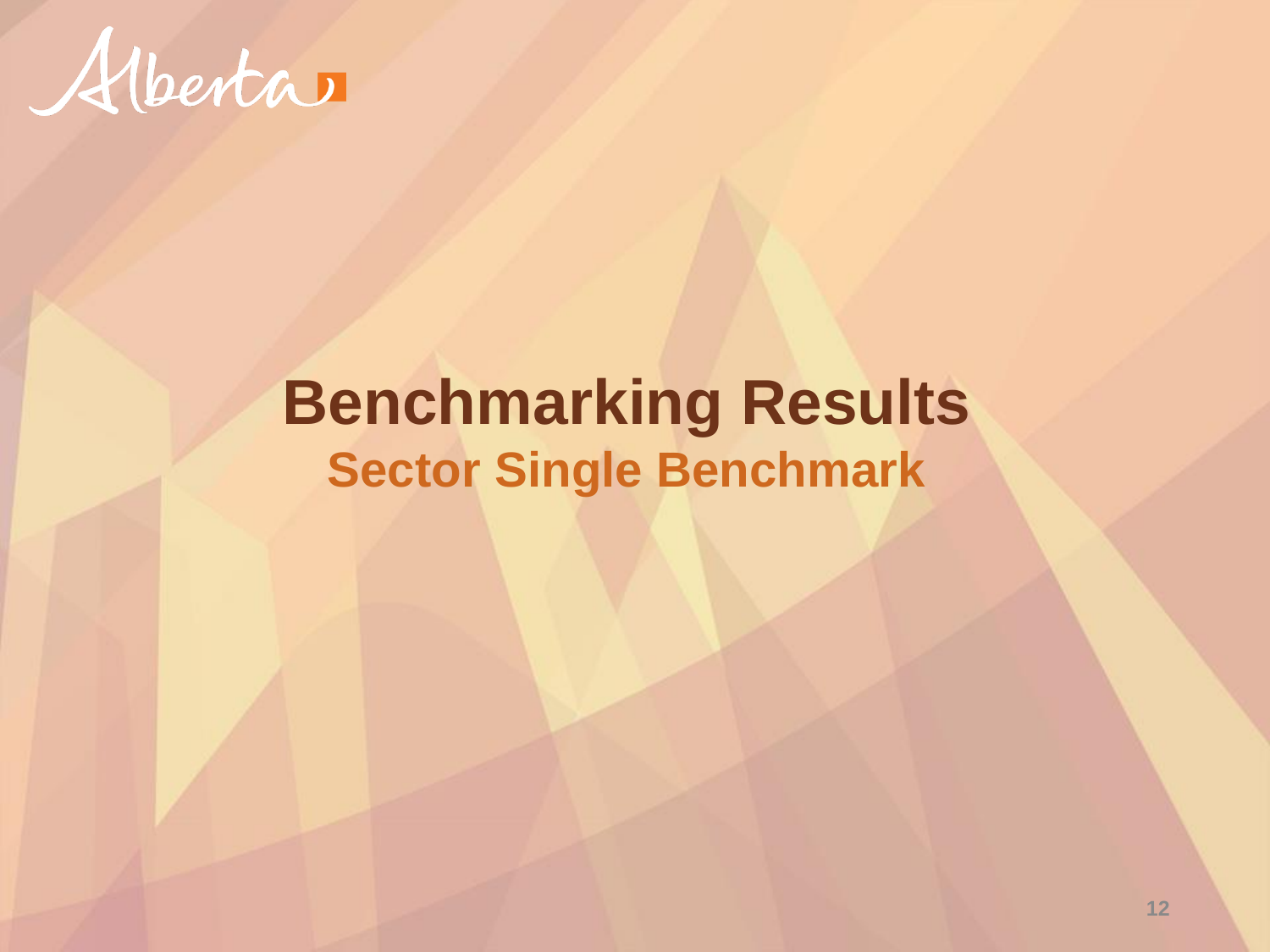

#### **Benchmarking Results Sector Single Benchmark**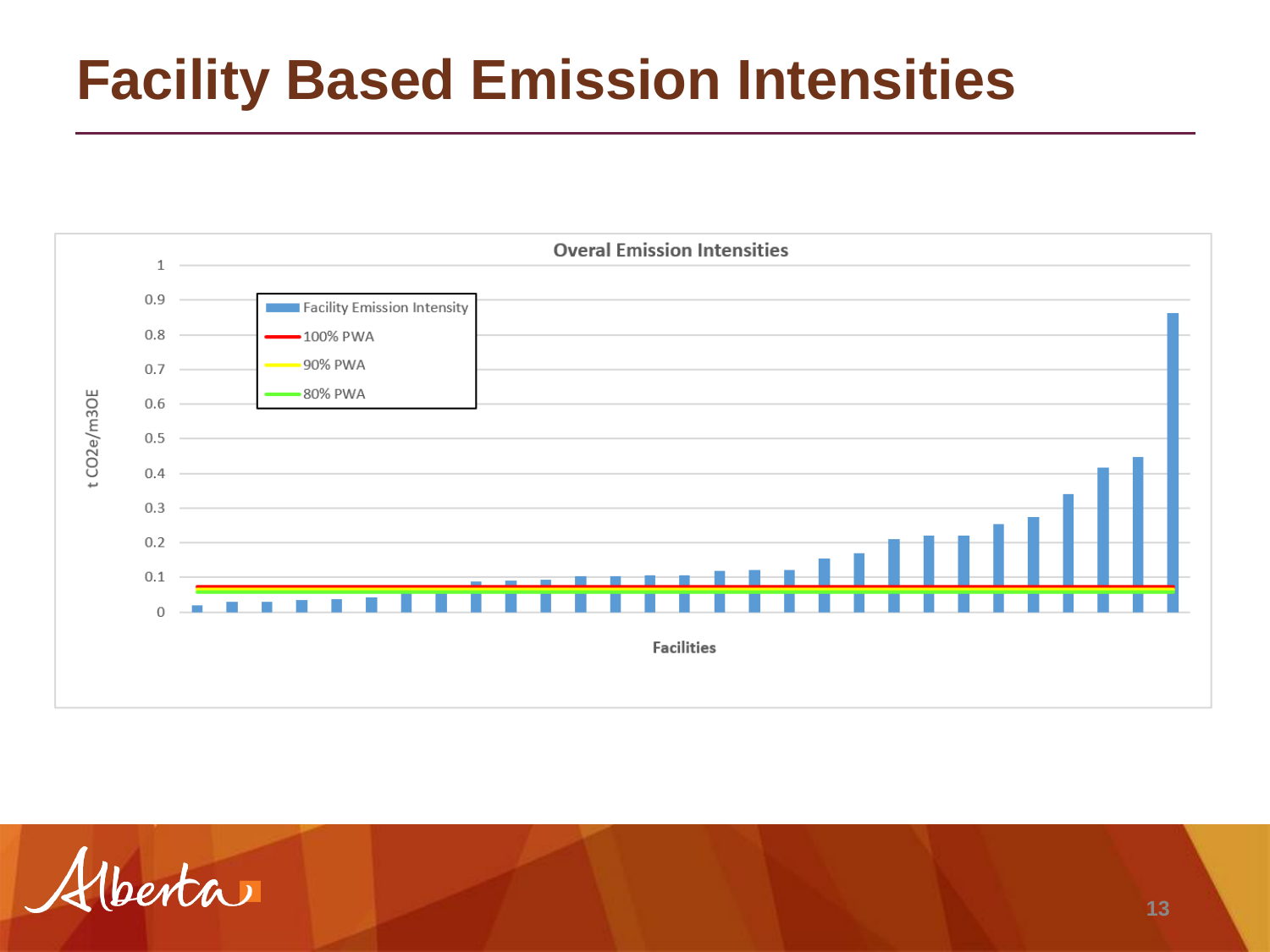### **Facility Based Emission Intensities**



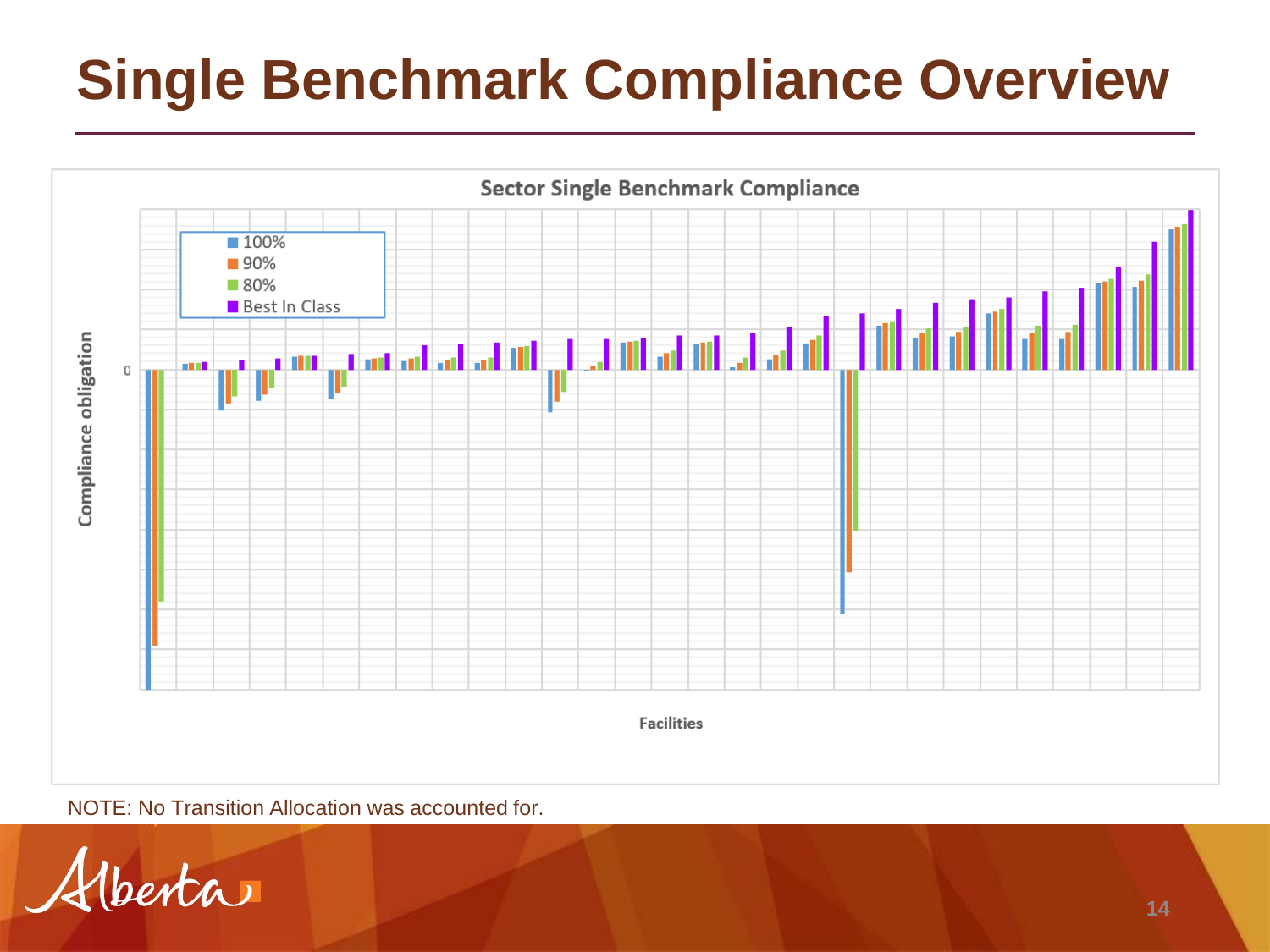## **Single Benchmark Compliance Overview**



NOTE: No Transition Allocation was accounted for.

Venta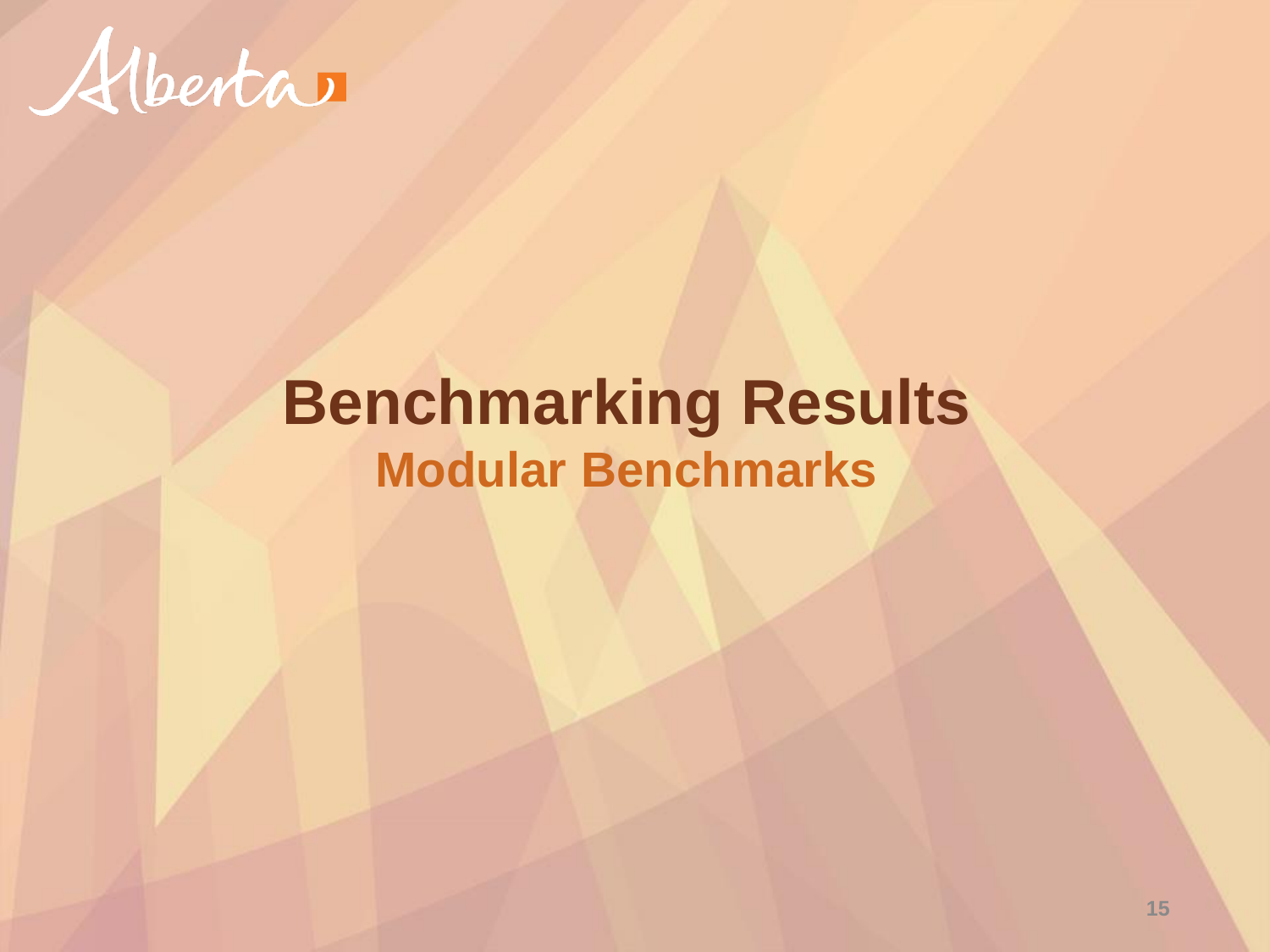![](_page_14_Picture_0.jpeg)

#### **Benchmarking Results Modular Benchmarks**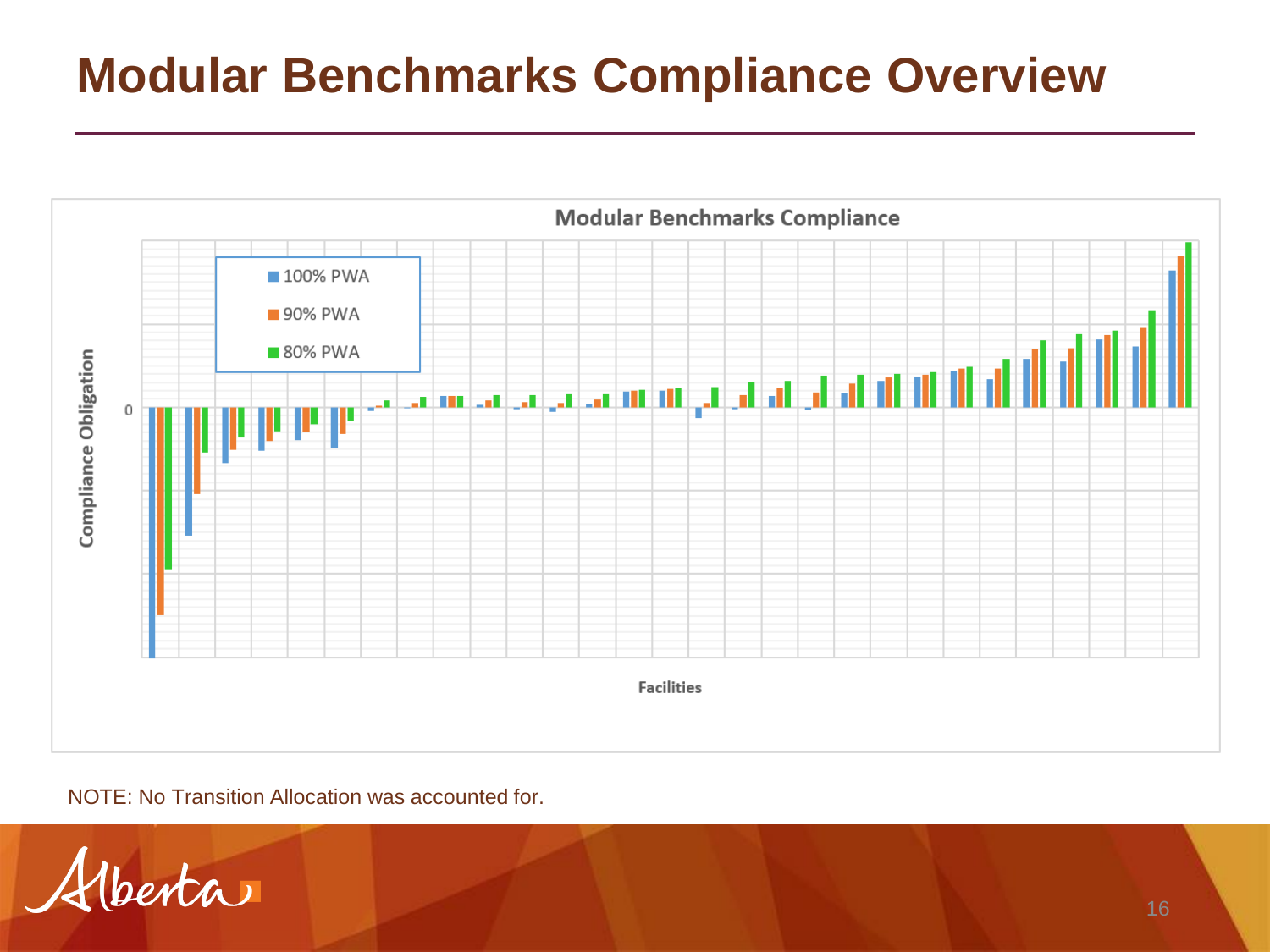![](_page_15_Figure_1.jpeg)

NOTE: No Transition Allocation was accounted for.

Hberta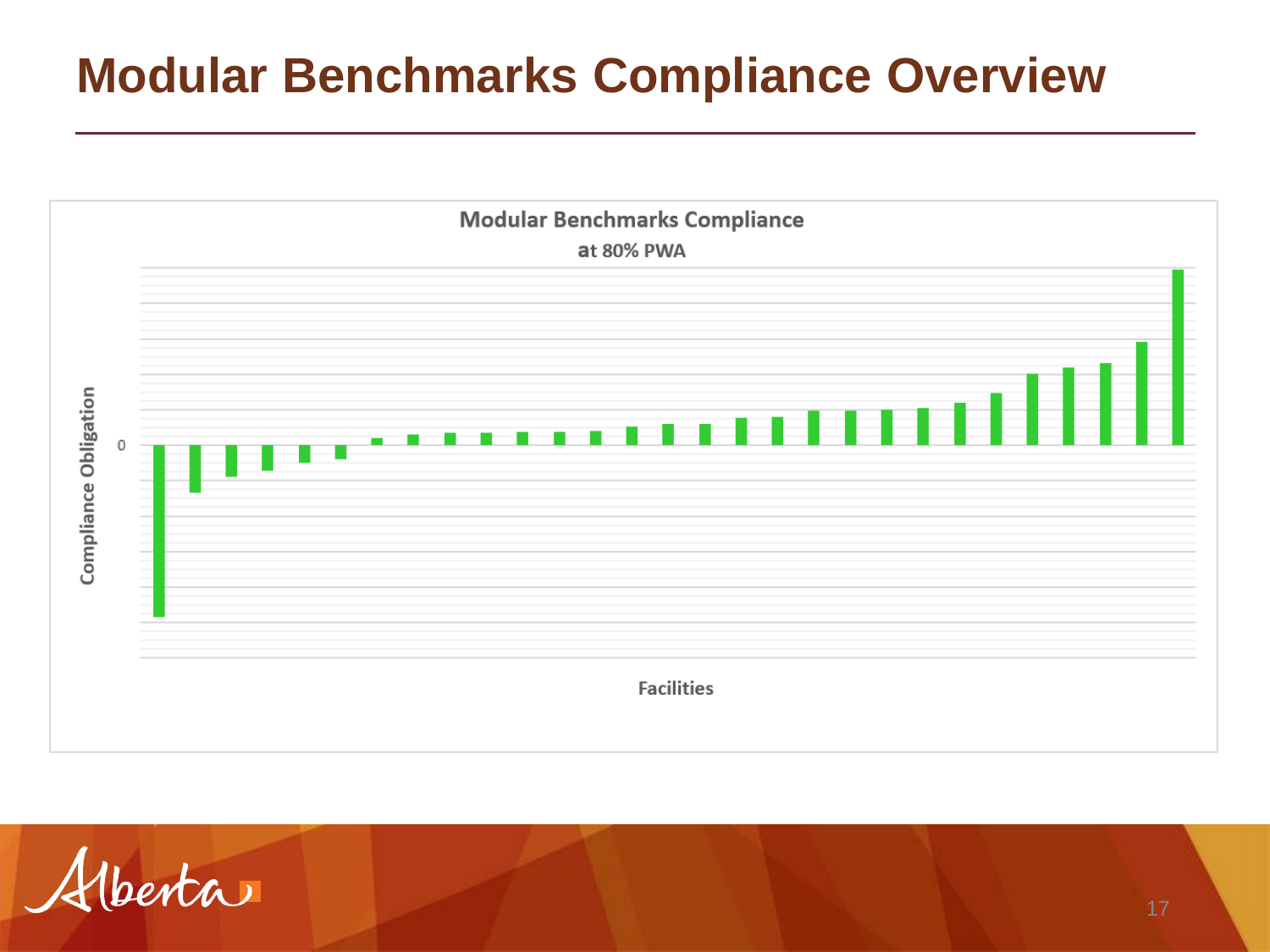![](_page_16_Figure_1.jpeg)

![](_page_16_Picture_2.jpeg)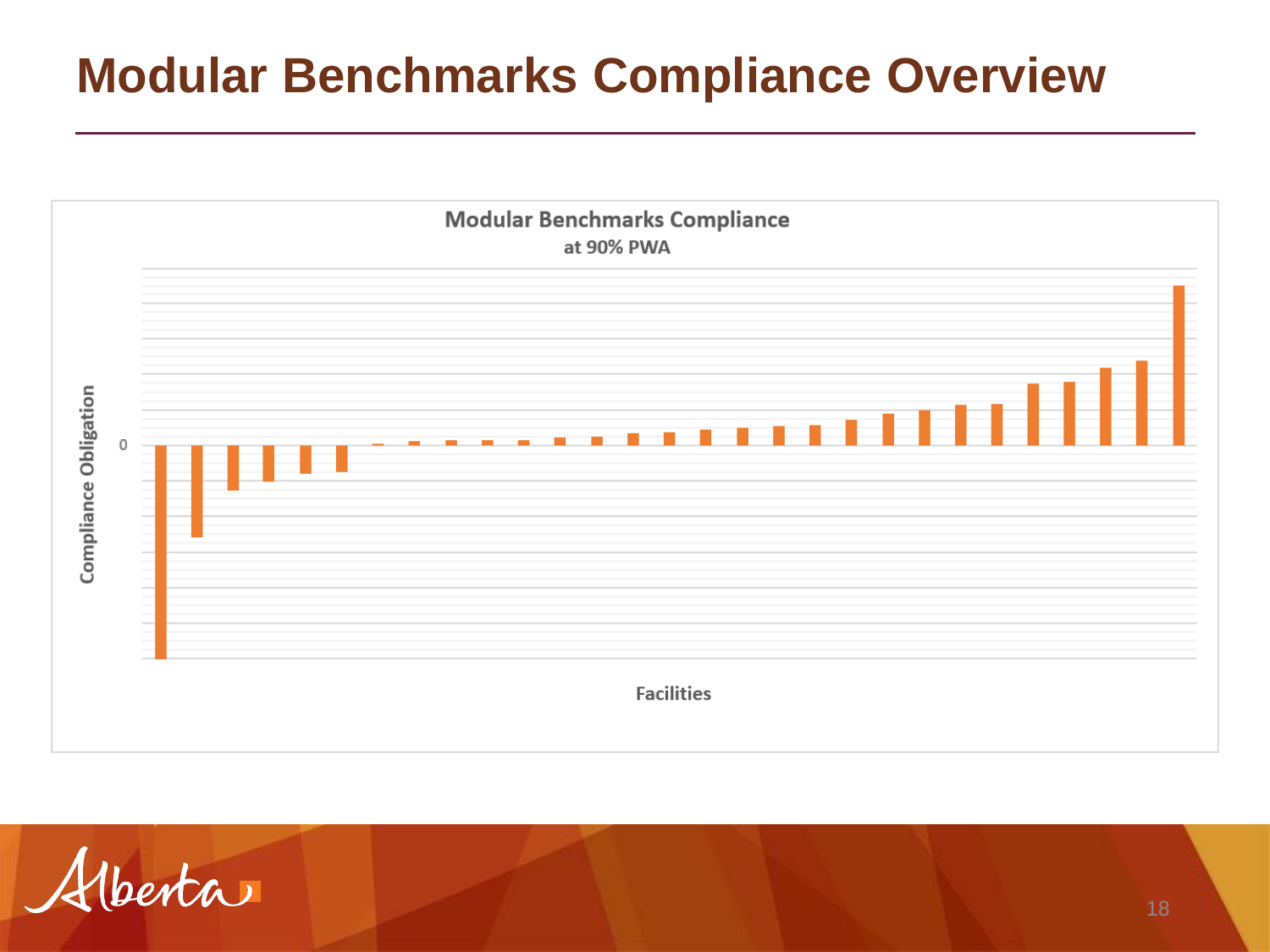![](_page_17_Figure_1.jpeg)

![](_page_17_Picture_2.jpeg)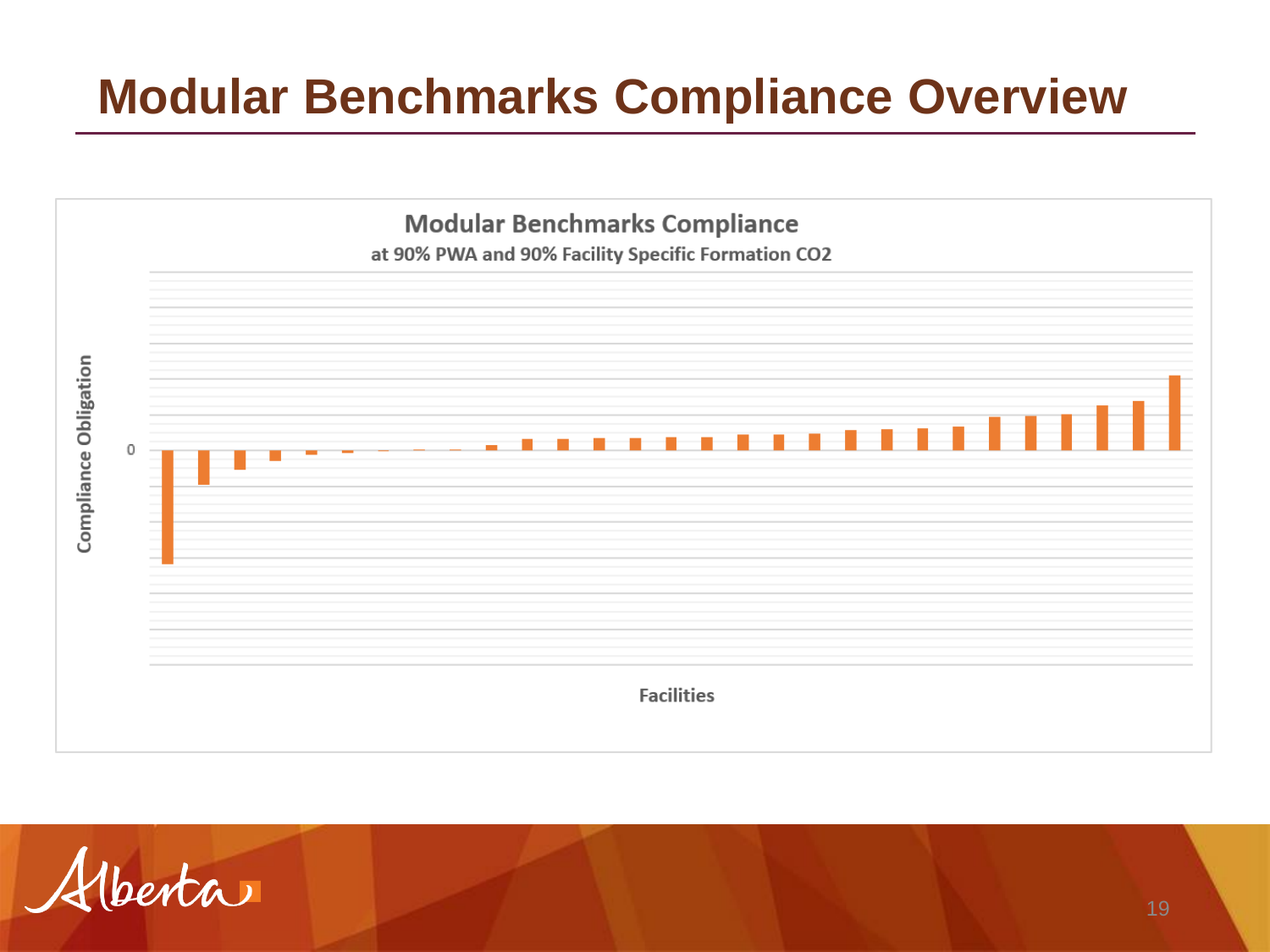![](_page_18_Figure_1.jpeg)

![](_page_18_Picture_2.jpeg)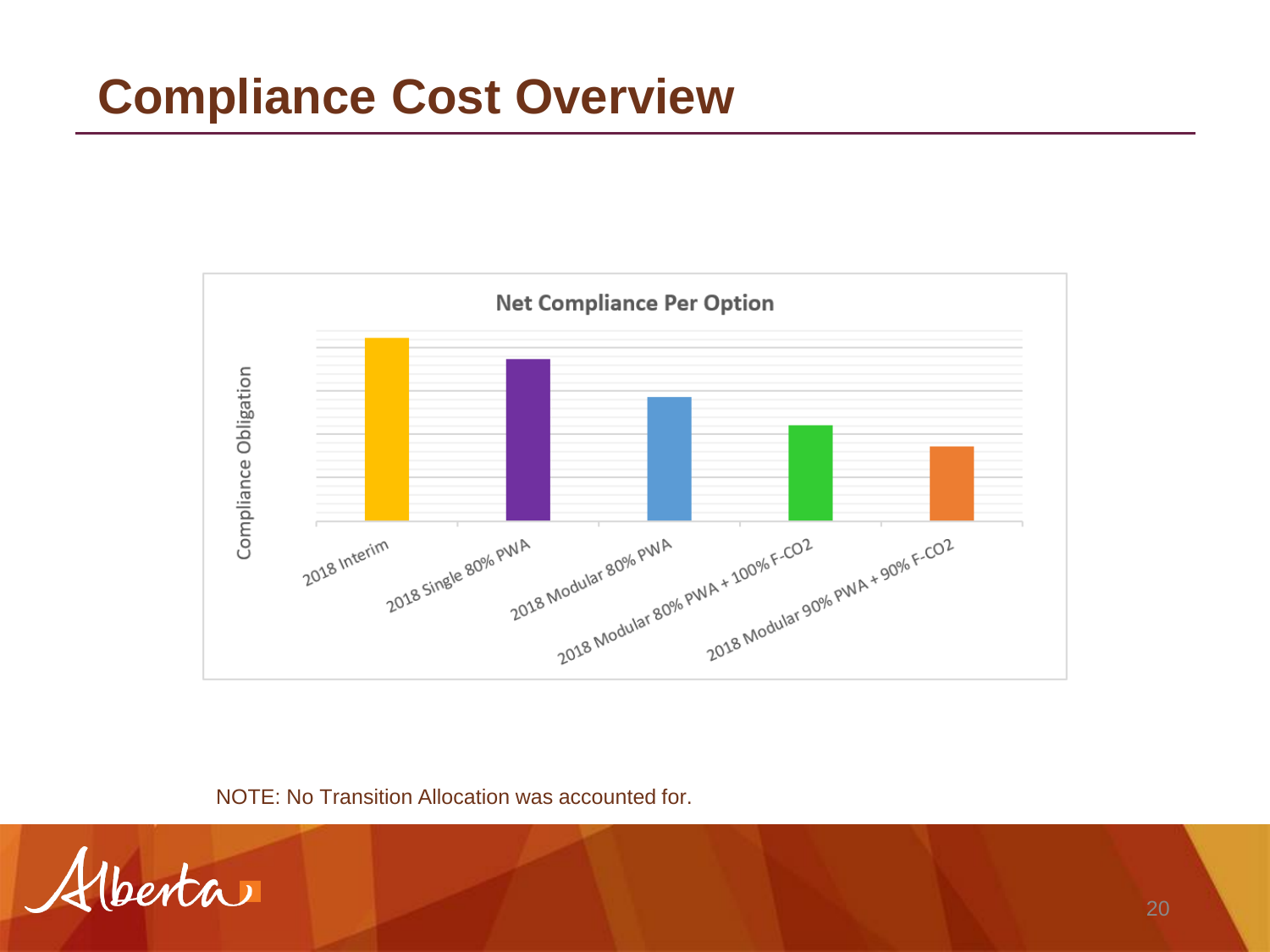![](_page_19_Figure_1.jpeg)

NOTE: No Transition Allocation was accounted for.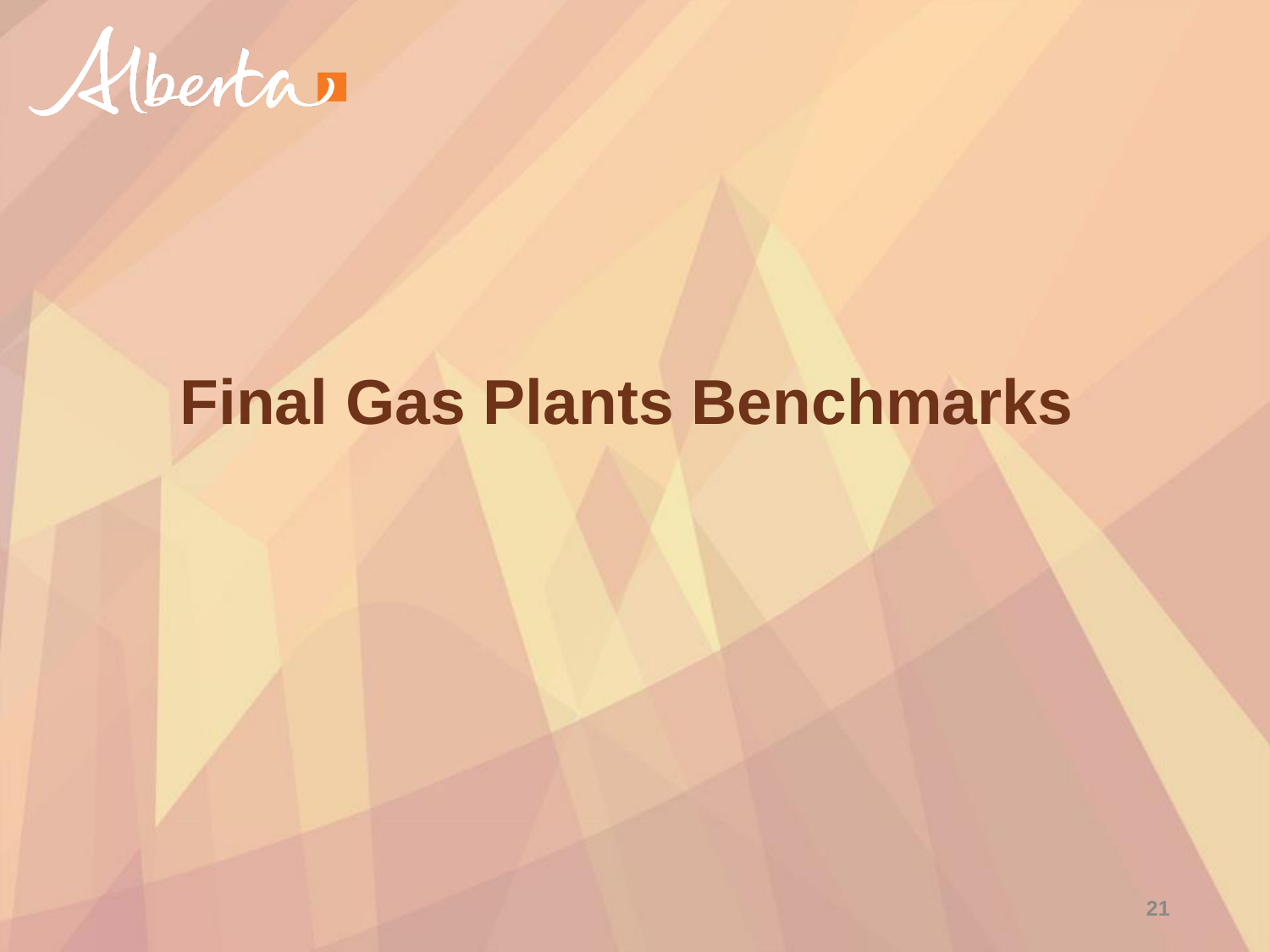![](_page_20_Picture_0.jpeg)

#### **Final Gas Plants Benchmarks**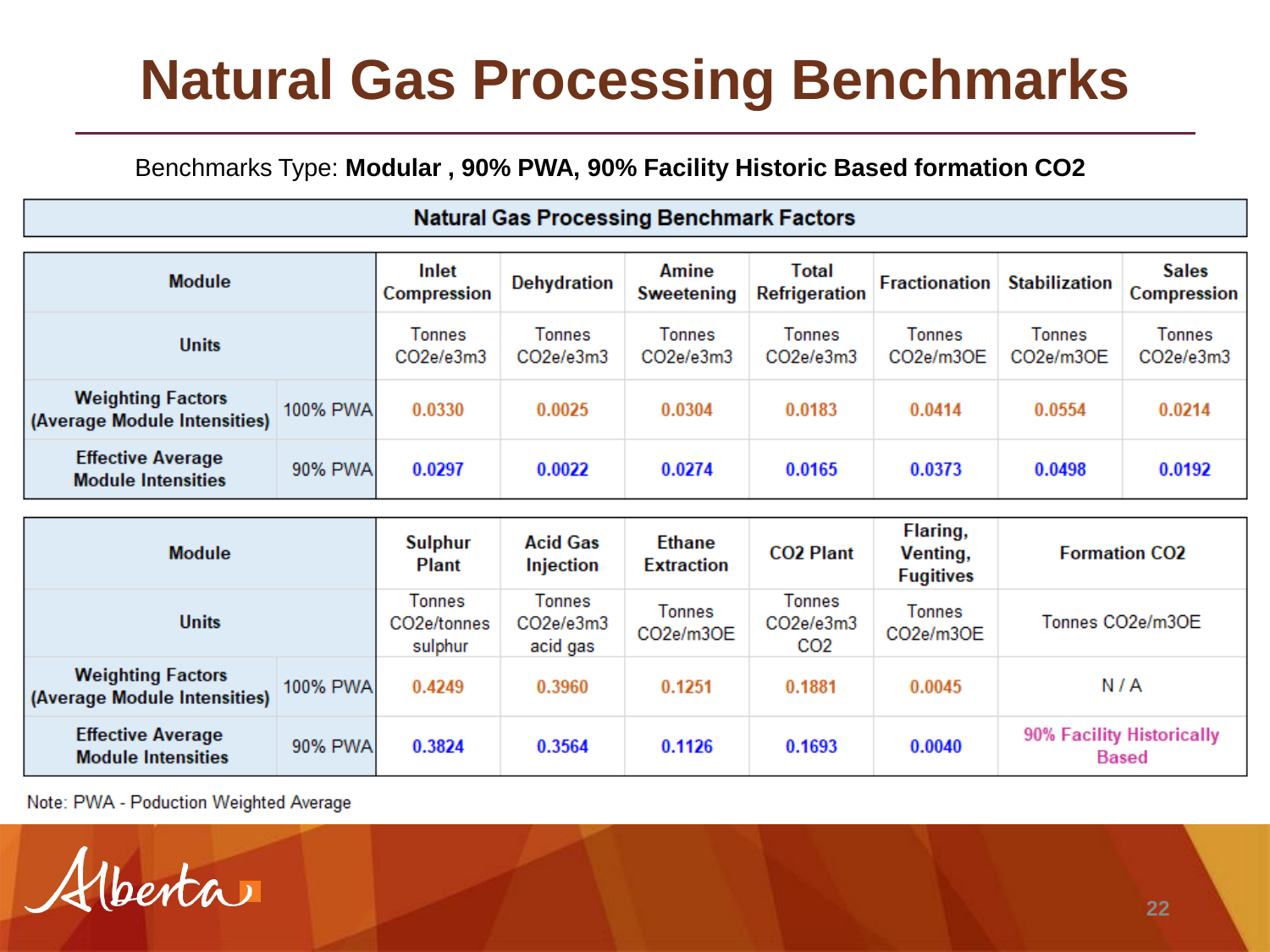## **Natural Gas Processing Benchmarks**

#### Benchmarks Type: **Modular , 90% PWA, 90% Facility Historic Based formation CO2**

| <b>Natural Gas Processing Benchmark Factors</b>          |                                |                                                      |                                    |                            |                                               |                            |                            |                                           |  |  |  |  |
|----------------------------------------------------------|--------------------------------|------------------------------------------------------|------------------------------------|----------------------------|-----------------------------------------------|----------------------------|----------------------------|-------------------------------------------|--|--|--|--|
| <b>Module</b>                                            |                                | Inlet<br><b>Compression</b>                          | <b>Dehydration</b>                 | Amine<br><b>Sweetening</b> | <b>Total</b><br><b>Refrigeration</b>          | <b>Fractionation</b>       | <b>Stabilization</b>       | <b>Sales</b><br><b>Compression</b>        |  |  |  |  |
| <b>Units</b>                                             | <b>Tonnes</b><br>CO2e/e3m3     | <b>Tonnes</b><br>CO2e/e3m3                           | <b>Tonnes</b><br>CO2e/e3m3         | <b>Tonnes</b><br>CO2e/e3m3 | <b>Tonnes</b><br>CO2e/m3OE                    | <b>Tonnes</b><br>CO2e/m3OE | <b>Tonnes</b><br>CO2e/e3m3 |                                           |  |  |  |  |
| <b>Weighting Factors</b><br>(Average Module Intensities) | 100% PWA                       | 0.0330                                               | 0.0025                             | 0.0304                     | 0.0183                                        | 0.0414                     | 0.0554                     | 0.0214                                    |  |  |  |  |
| <b>Effective Average</b><br><b>Module Intensities</b>    | 90% PWA                        | 0.0297                                               | 0.0022                             | 0.0274                     | 0.0165                                        | 0.0373                     | 0.0498                     | 0.0192                                    |  |  |  |  |
|                                                          |                                |                                                      |                                    |                            |                                               |                            |                            |                                           |  |  |  |  |
| <b>Module</b>                                            | <b>Sulphur</b><br><b>Plant</b> | <b>Acid Gas</b><br>Injection                         | <b>Ethane</b><br><b>Extraction</b> | <b>CO2 Plant</b>           | Flaring,<br>Venting,<br><b>Fugitives</b>      | <b>Formation CO2</b>       |                            |                                           |  |  |  |  |
| <b>Units</b>                                             |                                | <b>Tonnes</b><br>CO <sub>2</sub> e/tonnes<br>sulphur | Tonnes<br>CO2e/e3m3<br>acid gas    | <b>Tonnes</b><br>CO2e/m3OE | <b>Tonnes</b><br>CO2e/e3m3<br>CO <sub>2</sub> | <b>Tonnes</b><br>CO2e/m3OE | Tonnes CO2e/m3OE           |                                           |  |  |  |  |
| <b>Weighting Factors</b><br>(Average Module Intensities) | 100% PWA                       | 0.4249                                               | 0.3960                             | 0.1251                     | 0.1881                                        | 0.0045                     |                            | N/A                                       |  |  |  |  |
| <b>Effective Average</b><br><b>Module Intensities</b>    | 90% PWA                        | 0.3824                                               | 0.3564                             | 0.1126                     | 0.1693                                        | 0.0040                     |                            | 90% Facility Historically<br><b>Based</b> |  |  |  |  |

Note: PWA - Poduction Weighted Average

 $u\tan \theta$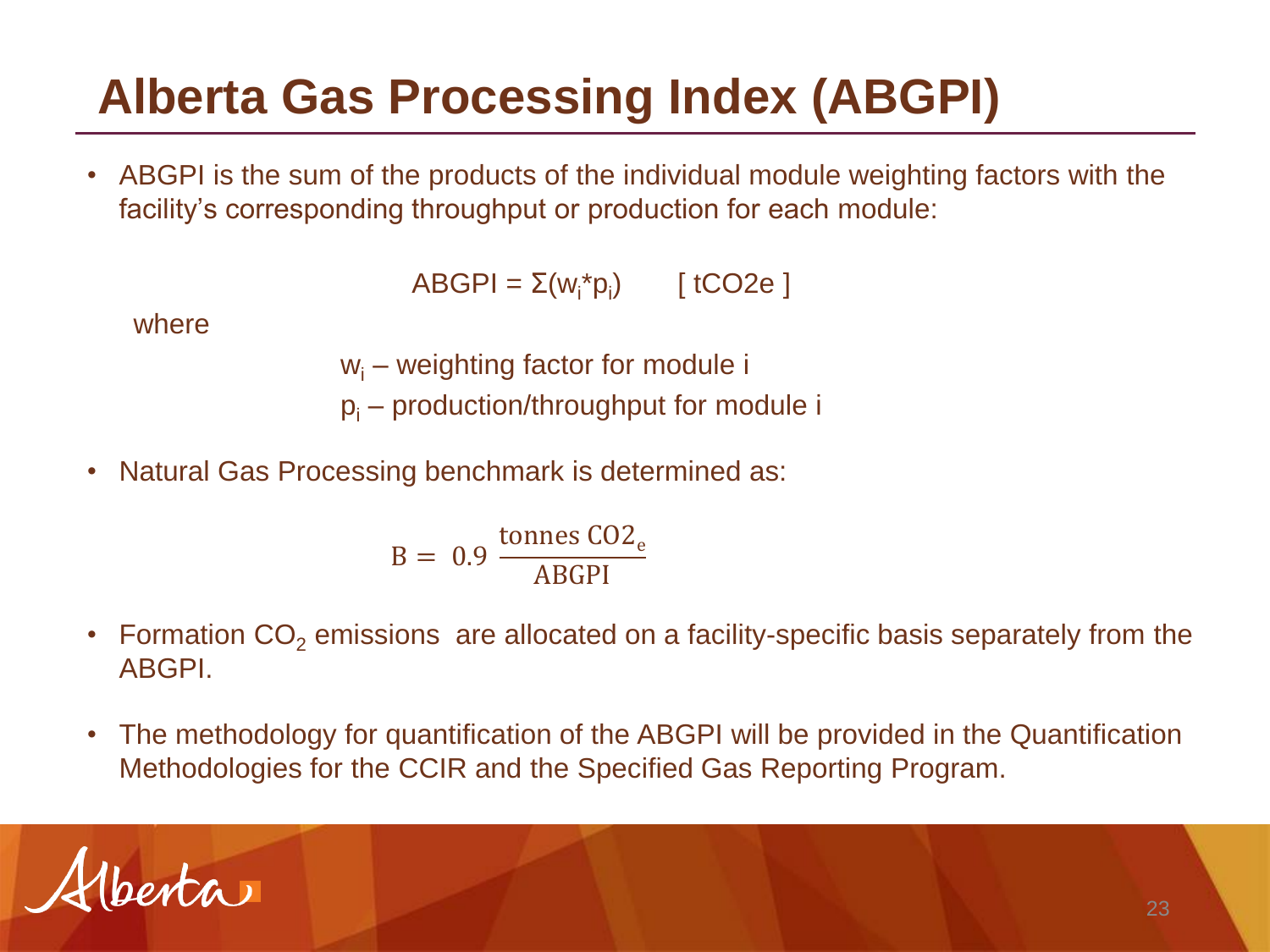#### **Alberta Gas Processing Index (ABGPI)**

• ABGPI is the sum of the products of the individual module weighting factors with the facility's corresponding throughput or production for each module:

 $\mathsf{ABGPI} = \Sigma(\mathsf{w}_i^* \mathsf{p}_i)$  [tCO2e ]

where

 $w_i$  – weighting factor for module i

 $p_i$  – production/throughput for module i

• Natural Gas Processing benchmark is determined as:

$$
B = 0.9 \frac{\text{tonnes CO2}_e}{\text{ABGPI}}
$$

- Formation  $CO<sub>2</sub>$  emissions are allocated on a facility-specific basis separately from the ABGPI.
- The methodology for quantification of the ABGPI will be provided in the Quantification Methodologies for the CCIR and the Specified Gas Reporting Program.